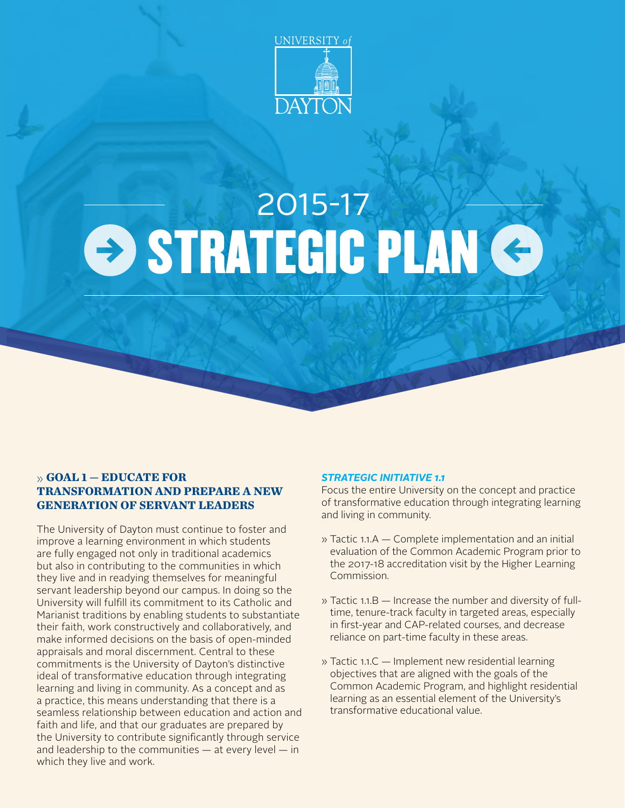

# **STRATEGIC PLAN G** 2015-17

## » **GOAL 1 — EDUCATE FOR TRANSFORMATION AND PREPARE A NEW GENERATION OF SERVANT LEADERS**

The University of Dayton must continue to foster and improve a learning environment in which students are fully engaged not only in traditional academics but also in contributing to the communities in which they live and in readying themselves for meaningful servant leadership beyond our campus. In doing so the University will fulfill its commitment to its Catholic and Marianist traditions by enabling students to substantiate their faith, work constructively and collaboratively, and make informed decisions on the basis of open-minded appraisals and moral discernment. Central to these commitments is the University of Dayton's distinctive ideal of transformative education through integrating learning and living in community. As a concept and as a practice, this means understanding that there is a seamless relationship between education and action and faith and life, and that our graduates are prepared by the University to contribute significantly through service and leadership to the communities  $-$  at every level  $-$  in which they live and work.

## *STRATEGIC INITIATIVE 1.1*

Focus the entire University on the concept and practice of transformative education through integrating learning and living in community.

- » Tactic 1.1.A Complete implementation and an initial evaluation of the Common Academic Program prior to the 2017-18 accreditation visit by the Higher Learning Commission.
- » Tactic 1.1.B Increase the number and diversity of fulltime, tenure-track faculty in targeted areas, especially in first-year and CAP-related courses, and decrease reliance on part-time faculty in these areas.
- » Tactic 1.1.C Implement new residential learning objectives that are aligned with the goals of the Common Academic Program, and highlight residential learning as an essential element of the University's transformative educational value.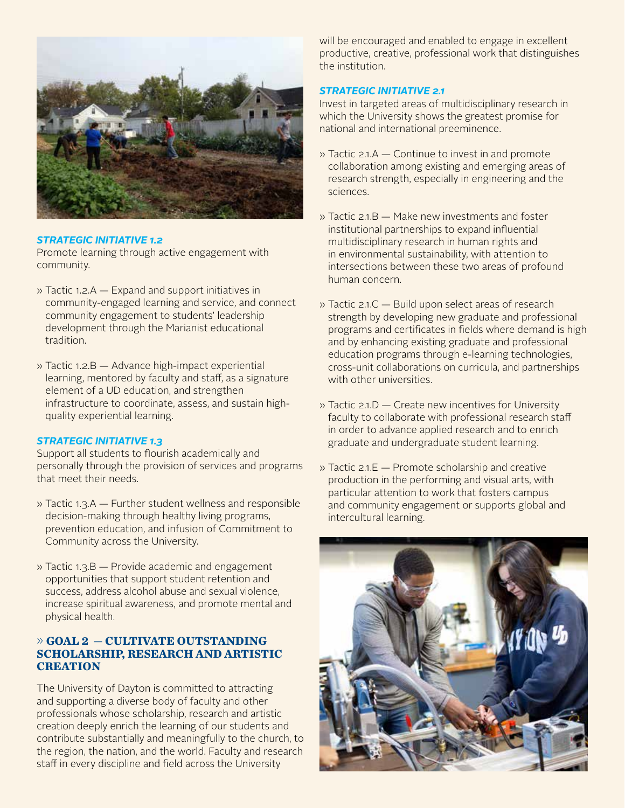

## *STRATEGIC INITIATIVE 1.2*

Promote learning through active engagement with community.

- » Tactic 1.2.A Expand and support initiatives in community-engaged learning and service, and connect community engagement to students' leadership development through the Marianist educational tradition.
- » Tactic 1.2.B Advance high-impact experiential learning, mentored by faculty and staff, as a signature element of a UD education, and strengthen infrastructure to coordinate, assess, and sustain highquality experiential learning.

### *STRATEGIC INITIATIVE 1.3*

Support all students to flourish academically and personally through the provision of services and programs that meet their needs.

- » Tactic 1.3.A Further student wellness and responsible decision-making through healthy living programs, prevention education, and infusion of Commitment to Community across the University.
- » Tactic 1.3.B Provide academic and engagement opportunities that support student retention and success, address alcohol abuse and sexual violence, increase spiritual awareness, and promote mental and physical health.

## » **GOAL 2 — CULTIVATE OUTSTANDING SCHOLARSHIP, RESEARCH AND ARTISTIC CREATION**

The University of Dayton is committed to attracting and supporting a diverse body of faculty and other professionals whose scholarship, research and artistic creation deeply enrich the learning of our students and contribute substantially and meaningfully to the church, to the region, the nation, and the world. Faculty and research staff in every discipline and field across the University

will be encouraged and enabled to engage in excellent productive, creative, professional work that distinguishes the institution.

## *STRATEGIC INITIATIVE 2.1*

Invest in targeted areas of multidisciplinary research in which the University shows the greatest promise for national and international preeminence.

- » Tactic 2.1.A Continue to invest in and promote collaboration among existing and emerging areas of research strength, especially in engineering and the sciences.
- » Tactic 2.1.B Make new investments and foster institutional partnerships to expand influential multidisciplinary research in human rights and in environmental sustainability, with attention to intersections between these two areas of profound human concern.
- » Tactic 2.1.C Build upon select areas of research strength by developing new graduate and professional programs and certificates in fields where demand is high and by enhancing existing graduate and professional education programs through e-learning technologies, cross-unit collaborations on curricula, and partnerships with other universities.
- » Tactic 2.1.D Create new incentives for University faculty to collaborate with professional research staff in order to advance applied research and to enrich graduate and undergraduate student learning.
- » Tactic 2.1.E Promote scholarship and creative production in the performing and visual arts, with particular attention to work that fosters campus and community engagement or supports global and intercultural learning.

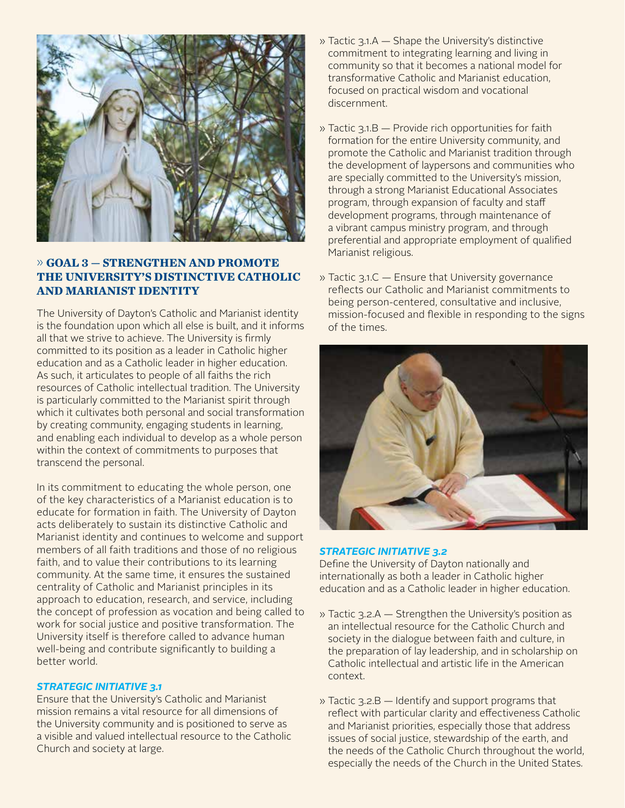

# » **GOAL 3 — STRENGTHEN AND PROMOTE THE UNIVERSITY'S DISTINCTIVE CATHOLIC AND MARIANIST IDENTITY**

The University of Dayton's Catholic and Marianist identity is the foundation upon which all else is built, and it informs all that we strive to achieve. The University is firmly committed to its position as a leader in Catholic higher education and as a Catholic leader in higher education. As such, it articulates to people of all faiths the rich resources of Catholic intellectual tradition. The University is particularly committed to the Marianist spirit through which it cultivates both personal and social transformation by creating community, engaging students in learning, and enabling each individual to develop as a whole person within the context of commitments to purposes that transcend the personal.

In its commitment to educating the whole person, one of the key characteristics of a Marianist education is to educate for formation in faith. The University of Dayton acts deliberately to sustain its distinctive Catholic and Marianist identity and continues to welcome and support members of all faith traditions and those of no religious faith, and to value their contributions to its learning community. At the same time, it ensures the sustained centrality of Catholic and Marianist principles in its approach to education, research, and service, including the concept of profession as vocation and being called to work for social justice and positive transformation. The University itself is therefore called to advance human well-being and contribute significantly to building a better world.

## *STRATEGIC INITIATIVE 3.1*

Ensure that the University's Catholic and Marianist mission remains a vital resource for all dimensions of the University community and is positioned to serve as a visible and valued intellectual resource to the Catholic Church and society at large.

- » Tactic 3.1.A Shape the University's distinctive commitment to integrating learning and living in community so that it becomes a national model for transformative Catholic and Marianist education, focused on practical wisdom and vocational discernment.
- » Tactic 3.1.B Provide rich opportunities for faith formation for the entire University community, and promote the Catholic and Marianist tradition through the development of laypersons and communities who are specially committed to the University's mission, through a strong Marianist Educational Associates program, through expansion of faculty and staff development programs, through maintenance of a vibrant campus ministry program, and through preferential and appropriate employment of qualified Marianist religious.
- » Tactic 3.1.C Ensure that University governance reflects our Catholic and Marianist commitments to being person-centered, consultative and inclusive, mission-focused and flexible in responding to the signs of the times.



### *STRATEGIC INITIATIVE 3.2*

Define the University of Dayton nationally and internationally as both a leader in Catholic higher education and as a Catholic leader in higher education.

- » Tactic 3.2.A Strengthen the University's position as an intellectual resource for the Catholic Church and society in the dialogue between faith and culture, in the preparation of lay leadership, and in scholarship on Catholic intellectual and artistic life in the American context.
- » Tactic 3.2.B Identify and support programs that reflect with particular clarity and effectiveness Catholic and Marianist priorities, especially those that address issues of social justice, stewardship of the earth, and the needs of the Catholic Church throughout the world, especially the needs of the Church in the United States.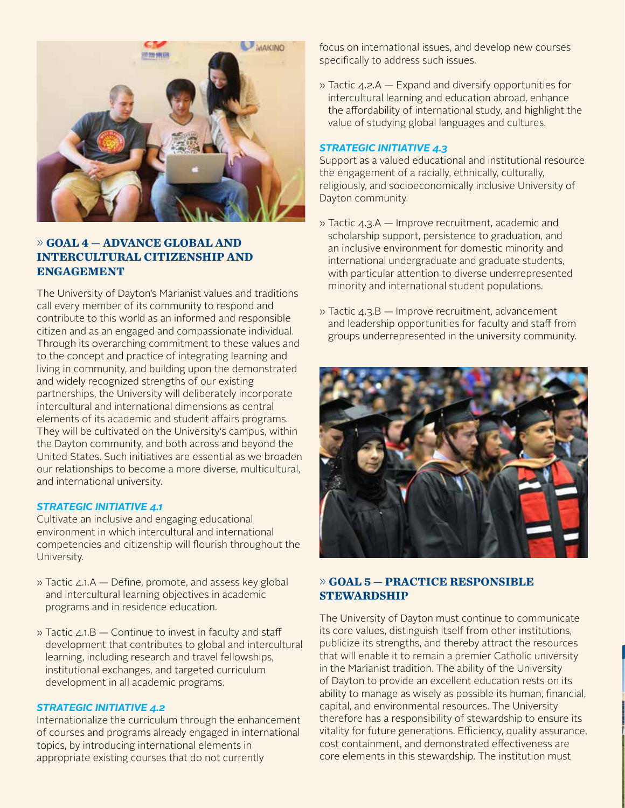

# » **GOAL 4 — ADVANCE GLOBAL AND INTERCULTURAL CITIZENSHIP AND ENGAGEMENT**

The University of Dayton's Marianist values and traditions call every member of its community to respond and contribute to this world as an informed and responsible citizen and as an engaged and compassionate individual. Through its overarching commitment to these values and to the concept and practice of integrating learning and living in community, and building upon the demonstrated and widely recognized strengths of our existing partnerships, the University will deliberately incorporate intercultural and international dimensions as central elements of its academic and student affairs programs. They will be cultivated on the University's campus, within the Dayton community, and both across and beyond the United States. Such initiatives are essential as we broaden our relationships to become a more diverse, multicultural, and international university.

### *STRATEGIC INITIATIVE 4.1*

Cultivate an inclusive and engaging educational environment in which intercultural and international competencies and citizenship will flourish throughout the University.

- » Tactic 4.1.A Define, promote, and assess key global and intercultural learning objectives in academic programs and in residence education.
- » Tactic 4.1.B Continue to invest in faculty and staff development that contributes to global and intercultural learning, including research and travel fellowships, institutional exchanges, and targeted curriculum development in all academic programs.

#### *STRATEGIC INITIATIVE 4.2*

Internationalize the curriculum through the enhancement of courses and programs already engaged in international topics, by introducing international elements in appropriate existing courses that do not currently

focus on international issues, and develop new courses specifically to address such issues.

» Tactic 4.2.A — Expand and diversify opportunities for intercultural learning and education abroad, enhance the affordability of international study, and highlight the value of studying global languages and cultures.

#### *STRATEGIC INITIATIVE 4.3*

Support as a valued educational and institutional resource the engagement of a racially, ethnically, culturally, religiously, and socioeconomically inclusive University of Dayton community.

- » Tactic 4.3.A Improve recruitment, academic and scholarship support, persistence to graduation, and an inclusive environment for domestic minority and international undergraduate and graduate students, with particular attention to diverse underrepresented minority and international student populations.
- » Tactic 4.3.B Improve recruitment, advancement and leadership opportunities for faculty and staff from groups underrepresented in the university community.



## » **GOAL 5 — PRACTICE RESPONSIBLE STEWARDSHIP**

The University of Dayton must continue to communicate its core values, distinguish itself from other institutions, publicize its strengths, and thereby attract the resources that will enable it to remain a premier Catholic university in the Marianist tradition. The ability of the University of Dayton to provide an excellent education rests on its ability to manage as wisely as possible its human, financial, capital, and environmental resources. The University therefore has a responsibility of stewardship to ensure its vitality for future generations. Efficiency, quality assurance, cost containment, and demonstrated effectiveness are core elements in this stewardship. The institution must